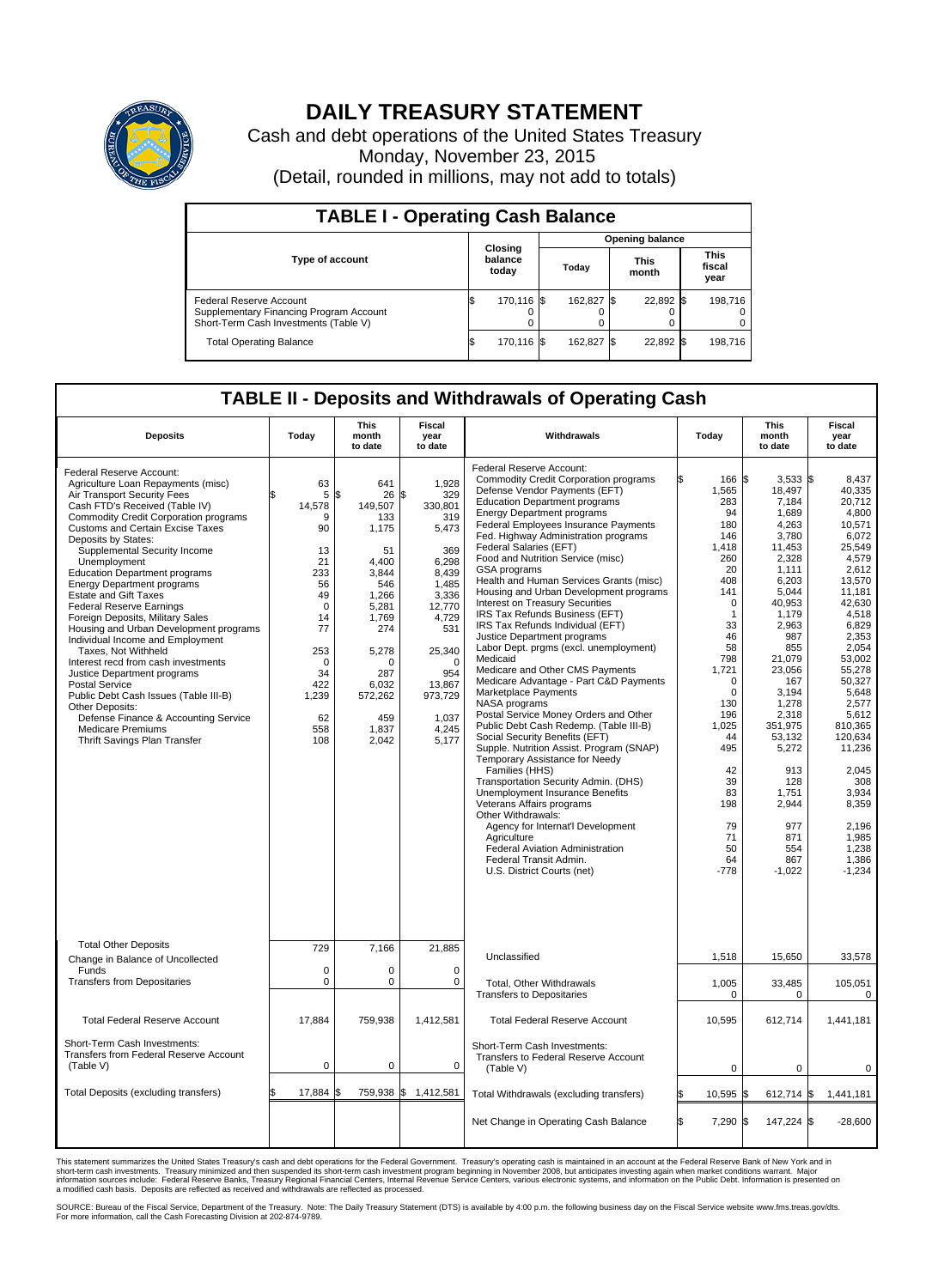

## **DAILY TREASURY STATEMENT**

Cash and debt operations of the United States Treasury Monday, November 23, 2015 (Detail, rounded in millions, may not add to totals)

| <b>TABLE I - Operating Cash Balance</b>                                                                     |     |                             |  |                        |      |                      |  |                               |  |  |  |
|-------------------------------------------------------------------------------------------------------------|-----|-----------------------------|--|------------------------|------|----------------------|--|-------------------------------|--|--|--|
|                                                                                                             |     |                             |  | <b>Opening balance</b> |      |                      |  |                               |  |  |  |
| <b>Type of account</b>                                                                                      |     | Closing<br>balance<br>today |  | Today                  |      | <b>This</b><br>month |  | <b>This</b><br>fiscal<br>year |  |  |  |
| Federal Reserve Account<br>Supplementary Financing Program Account<br>Short-Term Cash Investments (Table V) |     | 170,116 \$                  |  | 162.827 \$             |      | 22.892 \$            |  | 198.716                       |  |  |  |
| <b>Total Operating Balance</b>                                                                              | I\$ | 170,116 \$                  |  | 162,827                | - IS | 22,892 \$            |  | 198,716                       |  |  |  |

## **TABLE II - Deposits and Withdrawals of Operating Cash**

| <b>Deposits</b>                                                                                                                                                                                                                                                                                                                                                                                                                                                                                                                                                                                                                                                                                                                                                                                                                                    | Today                                                                                                                                               | <b>This</b><br>month<br>to date                                                                                                                                                      | <b>Fiscal</b><br>year<br>to date                                                                                                                                                                | Withdrawals                                                                                                                                                                                                                                                                                                                                                                                                                                                                                                                                                                                                                                                                                                                                                                                                                                                                                                                                                                                                                                                                                                                                                                                                                                                             | Today                                                                                                                                                                                                                                                                     | <b>This</b><br>month<br>to date                                                                                                                                                                                                                                                                              | Fiscal<br>year<br>to date                                                                                                                                                                                                                                                                                                      |
|----------------------------------------------------------------------------------------------------------------------------------------------------------------------------------------------------------------------------------------------------------------------------------------------------------------------------------------------------------------------------------------------------------------------------------------------------------------------------------------------------------------------------------------------------------------------------------------------------------------------------------------------------------------------------------------------------------------------------------------------------------------------------------------------------------------------------------------------------|-----------------------------------------------------------------------------------------------------------------------------------------------------|--------------------------------------------------------------------------------------------------------------------------------------------------------------------------------------|-------------------------------------------------------------------------------------------------------------------------------------------------------------------------------------------------|-------------------------------------------------------------------------------------------------------------------------------------------------------------------------------------------------------------------------------------------------------------------------------------------------------------------------------------------------------------------------------------------------------------------------------------------------------------------------------------------------------------------------------------------------------------------------------------------------------------------------------------------------------------------------------------------------------------------------------------------------------------------------------------------------------------------------------------------------------------------------------------------------------------------------------------------------------------------------------------------------------------------------------------------------------------------------------------------------------------------------------------------------------------------------------------------------------------------------------------------------------------------------|---------------------------------------------------------------------------------------------------------------------------------------------------------------------------------------------------------------------------------------------------------------------------|--------------------------------------------------------------------------------------------------------------------------------------------------------------------------------------------------------------------------------------------------------------------------------------------------------------|--------------------------------------------------------------------------------------------------------------------------------------------------------------------------------------------------------------------------------------------------------------------------------------------------------------------------------|
| Federal Reserve Account:<br>Agriculture Loan Repayments (misc)<br>Air Transport Security Fees<br>Cash FTD's Received (Table IV)<br><b>Commodity Credit Corporation programs</b><br><b>Customs and Certain Excise Taxes</b><br>Deposits by States:<br>Supplemental Security Income<br>Unemployment<br><b>Education Department programs</b><br><b>Energy Department programs</b><br><b>Estate and Gift Taxes</b><br><b>Federal Reserve Earnings</b><br>Foreign Deposits, Military Sales<br>Housing and Urban Development programs<br>Individual Income and Employment<br>Taxes, Not Withheld<br>Interest recd from cash investments<br>Justice Department programs<br><b>Postal Service</b><br>Public Debt Cash Issues (Table III-B)<br>Other Deposits:<br>Defense Finance & Accounting Service<br>Medicare Premiums<br>Thrift Savings Plan Transfer | 63<br>5<br>14,578<br>9<br>90<br>13<br>21<br>233<br>56<br>49<br>$\Omega$<br>14<br>77<br>253<br>$\mathbf 0$<br>34<br>422<br>1,239<br>62<br>558<br>108 | 641<br>\$<br>26<br>149,507<br>133<br>1,175<br>51<br>4.400<br>3,844<br>546<br>1,266<br>5,281<br>1,769<br>274<br>5,278<br>$\Omega$<br>287<br>6.032<br>572,262<br>459<br>1,837<br>2,042 | 1,928<br>\$<br>329<br>330,801<br>319<br>5,473<br>369<br>6,298<br>8,439<br>1,485<br>3,336<br>12,770<br>4,729<br>531<br>25,340<br>$\Omega$<br>954<br>13,867<br>973,729<br>1,037<br>4,245<br>5,177 | Federal Reserve Account:<br><b>Commodity Credit Corporation programs</b><br>Defense Vendor Payments (EFT)<br><b>Education Department programs</b><br><b>Energy Department programs</b><br><b>Federal Employees Insurance Payments</b><br>Fed. Highway Administration programs<br>Federal Salaries (EFT)<br>Food and Nutrition Service (misc)<br>GSA programs<br>Health and Human Services Grants (misc)<br>Housing and Urban Development programs<br>Interest on Treasury Securities<br>IRS Tax Refunds Business (EFT)<br>IRS Tax Refunds Individual (EFT)<br>Justice Department programs<br>Labor Dept. prgms (excl. unemployment)<br>Medicaid<br>Medicare and Other CMS Payments<br>Medicare Advantage - Part C&D Payments<br>Marketplace Payments<br>NASA programs<br>Postal Service Money Orders and Other<br>Public Debt Cash Redemp. (Table III-B)<br>Social Security Benefits (EFT)<br>Supple. Nutrition Assist. Program (SNAP)<br>Temporary Assistance for Needy<br>Families (HHS)<br>Transportation Security Admin. (DHS)<br>Unemployment Insurance Benefits<br>Veterans Affairs programs<br>Other Withdrawals:<br>Agency for Internat'l Development<br>Agriculture<br>Federal Aviation Administration<br>Federal Transit Admin.<br>U.S. District Courts (net) | 166 \$<br>1,565<br>283<br>94<br>180<br>146<br>1,418<br>260<br>20<br>408<br>141<br>$\mathbf 0$<br>$\mathbf{1}$<br>33<br>46<br>58<br>798<br>1,721<br>$\mathbf 0$<br>$\Omega$<br>130<br>196<br>1,025<br>44<br>495<br>42<br>39<br>83<br>198<br>79<br>71<br>50<br>64<br>$-778$ | $3,533$ \$<br>18,497<br>7,184<br>1,689<br>4.263<br>3,780<br>11,453<br>2,328<br>1.111<br>6,203<br>5,044<br>40,953<br>1,179<br>2,963<br>987<br>855<br>21.079<br>23,056<br>167<br>3,194<br>1,278<br>2,318<br>351,975<br>53,132<br>5,272<br>913<br>128<br>1,751<br>2,944<br>977<br>871<br>554<br>867<br>$-1,022$ | 8,437<br>40,335<br>20,712<br>4,800<br>10,571<br>6,072<br>25.549<br>4,579<br>2.612<br>13,570<br>11,181<br>42,630<br>4,518<br>6,829<br>2,353<br>2,054<br>53.002<br>55,278<br>50,327<br>5,648<br>2,577<br>5,612<br>810.365<br>120,634<br>11,236<br>2.045<br>308<br>3,934<br>8,359<br>2,196<br>1,985<br>1,238<br>1,386<br>$-1,234$ |
| <b>Total Other Deposits</b><br>Change in Balance of Uncollected                                                                                                                                                                                                                                                                                                                                                                                                                                                                                                                                                                                                                                                                                                                                                                                    | 729                                                                                                                                                 | 7,166                                                                                                                                                                                | 21,885                                                                                                                                                                                          | Unclassified                                                                                                                                                                                                                                                                                                                                                                                                                                                                                                                                                                                                                                                                                                                                                                                                                                                                                                                                                                                                                                                                                                                                                                                                                                                            | 1,518                                                                                                                                                                                                                                                                     | 15,650                                                                                                                                                                                                                                                                                                       | 33,578                                                                                                                                                                                                                                                                                                                         |
| Funds<br><b>Transfers from Depositaries</b>                                                                                                                                                                                                                                                                                                                                                                                                                                                                                                                                                                                                                                                                                                                                                                                                        | $\mathbf 0$<br>$\mathbf 0$                                                                                                                          | 0<br>0                                                                                                                                                                               | $\mathbf 0$<br>$\mathbf 0$                                                                                                                                                                      | <b>Total. Other Withdrawals</b><br><b>Transfers to Depositaries</b>                                                                                                                                                                                                                                                                                                                                                                                                                                                                                                                                                                                                                                                                                                                                                                                                                                                                                                                                                                                                                                                                                                                                                                                                     | 1,005<br>$\mathbf 0$                                                                                                                                                                                                                                                      | 33,485<br>0                                                                                                                                                                                                                                                                                                  | 105,051<br>0                                                                                                                                                                                                                                                                                                                   |
| <b>Total Federal Reserve Account</b>                                                                                                                                                                                                                                                                                                                                                                                                                                                                                                                                                                                                                                                                                                                                                                                                               | 17,884                                                                                                                                              | 759,938                                                                                                                                                                              | 1,412,581                                                                                                                                                                                       | <b>Total Federal Reserve Account</b>                                                                                                                                                                                                                                                                                                                                                                                                                                                                                                                                                                                                                                                                                                                                                                                                                                                                                                                                                                                                                                                                                                                                                                                                                                    | 10,595                                                                                                                                                                                                                                                                    | 612,714                                                                                                                                                                                                                                                                                                      | 1,441,181                                                                                                                                                                                                                                                                                                                      |
| Short-Term Cash Investments:<br><b>Transfers from Federal Reserve Account</b><br>(Table V)                                                                                                                                                                                                                                                                                                                                                                                                                                                                                                                                                                                                                                                                                                                                                         | $\pmb{0}$                                                                                                                                           | 0                                                                                                                                                                                    | $\mathbf 0$                                                                                                                                                                                     | Short-Term Cash Investments:<br>Transfers to Federal Reserve Account<br>(Table V)                                                                                                                                                                                                                                                                                                                                                                                                                                                                                                                                                                                                                                                                                                                                                                                                                                                                                                                                                                                                                                                                                                                                                                                       | $\mathbf 0$                                                                                                                                                                                                                                                               | 0                                                                                                                                                                                                                                                                                                            | 0                                                                                                                                                                                                                                                                                                                              |
| Total Deposits (excluding transfers)                                                                                                                                                                                                                                                                                                                                                                                                                                                                                                                                                                                                                                                                                                                                                                                                               | 17,884                                                                                                                                              | \$                                                                                                                                                                                   | 759,938 \$ 1,412,581                                                                                                                                                                            | Total Withdrawals (excluding transfers)                                                                                                                                                                                                                                                                                                                                                                                                                                                                                                                                                                                                                                                                                                                                                                                                                                                                                                                                                                                                                                                                                                                                                                                                                                 | 10,595 \$                                                                                                                                                                                                                                                                 | 612,714 $\frac{1}{9}$                                                                                                                                                                                                                                                                                        | 1,441,181                                                                                                                                                                                                                                                                                                                      |
|                                                                                                                                                                                                                                                                                                                                                                                                                                                                                                                                                                                                                                                                                                                                                                                                                                                    |                                                                                                                                                     |                                                                                                                                                                                      |                                                                                                                                                                                                 | Net Change in Operating Cash Balance                                                                                                                                                                                                                                                                                                                                                                                                                                                                                                                                                                                                                                                                                                                                                                                                                                                                                                                                                                                                                                                                                                                                                                                                                                    | l\$<br>7,290 \$                                                                                                                                                                                                                                                           | 147,224 \$                                                                                                                                                                                                                                                                                                   | $-28,600$                                                                                                                                                                                                                                                                                                                      |

This statement summarizes the United States Treasury's cash and debt operations for the Federal Government. Treasury's operating cash is maintained in an account at the Federal Reserve Bank of New York and in<br>short-term ca

SOURCE: Bureau of the Fiscal Service, Department of the Treasury. Note: The Daily Treasury Statement (DTS) is available by 4:00 p.m. the following business day on the Fiscal Service website www.fms.treas.gov/dts.<br>For more